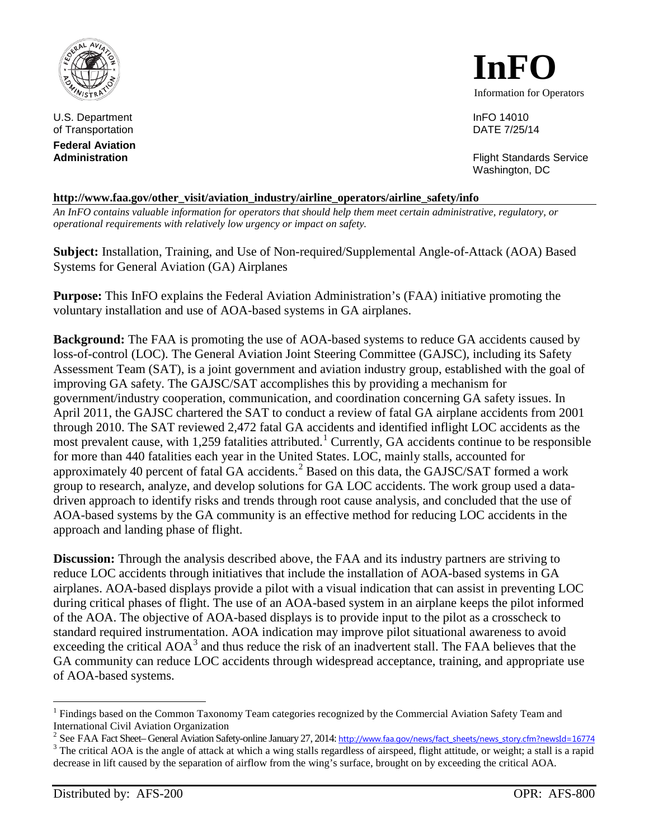

U.S. Department InFO 14010 of Transportation and DATE 7/25/14

**Federal Aviation**

## **InFO**Information for Operators

**Flight Standards Service** Washington, DC

## **[http://www.faa.gov/other\\_visit/aviation\\_industry/airline\\_operators/airline\\_safety/info](http://www.faa.gov/other_visit/aviation_industry/airline_operators/airline_safety/info)**

*An InFO contains valuable information for operators that should help them meet certain administrative, regulatory, or operational requirements with relatively low urgency or impact on safety.*

**Subject:** Installation, Training, and Use of Non-required/Supplemental Angle-of-Attack (AOA) Based Systems for General Aviation (GA) Airplanes

**Purpose:** This InFO explains the Federal Aviation Administration's (FAA) initiative promoting the voluntary installation and use of AOA-based systems in GA airplanes.

**Background:** The FAA is promoting the use of AOA-based systems to reduce GA accidents caused by loss-of-control (LOC). The General Aviation Joint Steering Committee (GAJSC), including its Safety Assessment Team (SAT), is a joint government and aviation industry group, established with the goal of improving GA safety. The GAJSC/SAT accomplishes this by providing a mechanism for government/industry cooperation, communication, and coordination concerning GA safety issues. In April 2011, the GAJSC chartered the SAT to conduct a review of fatal GA airplane accidents from 2001 through 2010. The SAT reviewed 2,472 fatal GA accidents and identified inflight LOC accidents as the most prevalent cause, with [1](#page-0-0),259 fatalities attributed.<sup>1</sup> Currently, GA accidents continue to be responsible for more than 440 fatalities each year in the United States. LOC, mainly stalls, accounted for approximately 40 percent of fatal GA accidents.<sup>[2](#page-0-1)</sup> Based on this data, the GAJSC/SAT formed a work group to research, analyze, and develop solutions for GA LOC accidents. The work group used a datadriven approach to identify risks and trends through root cause analysis, and concluded that the use of AOA-based systems by the GA community is an effective method for reducing LOC accidents in the approach and landing phase of flight.

**Discussion:** Through the analysis described above, the FAA and its industry partners are striving to reduce LOC accidents through initiatives that include the installation of AOA-based systems in GA airplanes. AOA-based displays provide a pilot with a visual indication that can assist in preventing LOC during critical phases of flight. The use of an AOA-based system in an airplane keeps the pilot informed of the AOA. The objective of AOA-based displays is to provide input to the pilot as a crosscheck to standard required instrumentation. AOA indication may improve pilot situational awareness to avoid exceeding the critical  $AOA<sup>3</sup>$  $AOA<sup>3</sup>$  $AOA<sup>3</sup>$  and thus reduce the risk of an inadvertent stall. The FAA believes that the GA community can reduce LOC accidents through widespread acceptance, training, and appropriate use of AOA-based systems.

<span id="page-0-0"></span> <sup>1</sup> Findings based on the Common Taxonomy Team categories recognized by the Commercial Aviation Safety Team and

<span id="page-0-2"></span><span id="page-0-1"></span>

International Civil Aviation Organization<br>
<sup>2</sup> See FAA Fact Sheet–General Aviation Safety-online January 27, 2014: http://www.faa.gov/news/fact sheets/news story.cfm?newsId=16774<br>
<sup>3</sup> The critical AOA is the angle of attac decrease in lift caused by the separation of airflow from the wing's surface, brought on by exceeding the critical AOA.